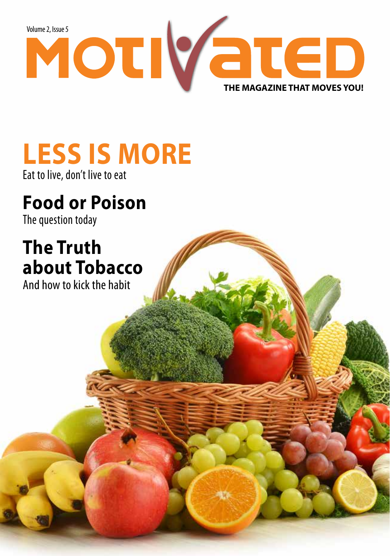

# **LESS IS MORE**

Eat to live, don't live to eat

# **Food or Poison**

The question today

# **The Truth about Tobacco**

And how to kick the habit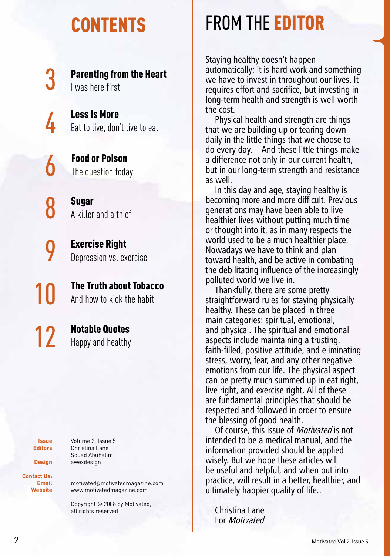Parenting from the Heart I was here first

3

4

6

8

9

10

Less Is More Eat to live, don't live to eat

Food or Poison The question today

Sugar A killer and a thief

Exercise Right Depression vs. exercise

The Truth about Tobacco And how to kick the habit

**12** Notable Quotes

**Issue Editors**

**Design Contact Us:**

**Email Website** Volume 2, Issue 5 Christina Lane Souad Abuhalim

awexdesign

motivated@motivatedmagazine.com www.motivatedmagazine.com

Copyright © 2008 by Motivated, all rights reserved

# CONTENTS FROM THE EDITOR

Staying healthy doesn't happen automatically; it is hard work and something we have to invest in throughout our lives. It requires effort and sacrifice, but investing in long-term health and strength is well worth the cost.

Physical health and strength are things that we are building up or tearing down daily in the little things that we choose to do every day.—And these little things make a difference not only in our current health, but in our long-term strength and resistance as well.

In this day and age, staying healthy is becoming more and more difficult. Previous generations may have been able to live healthier lives without putting much time or thought into it, as in many respects the world used to be a much healthier place. Nowadays we have to think and plan toward health, and be active in combating the debilitating influence of the increasingly polluted world we live in.

Thankfully, there are some pretty straightforward rules for staying physically healthy. These can be placed in three main categories: spiritual, emotional, and physical. The spiritual and emotional aspects include maintaining a trusting, faith-filled, positive attitude, and eliminating stress, worry, fear, and any other negative emotions from our life. The physical aspect can be pretty much summed up in eat right, live right, and exercise right. All of these are fundamental principles that should be respected and followed in order to ensure the blessing of good health.

Of course, this issue of Motivated is not intended to be a medical manual, and the information provided should be applied wisely. But we hope these articles will be useful and helpful, and when put into practice, will result in a better, healthier, and ultimately happier quality of life..

Christina Lane For Motivated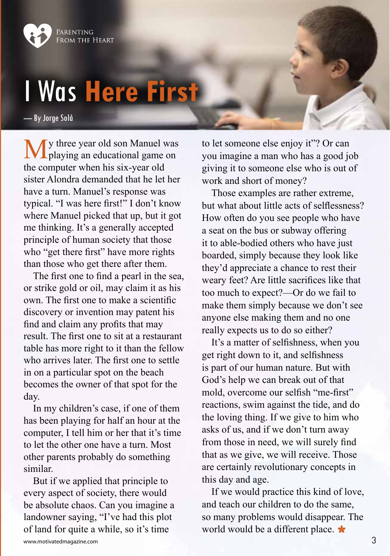

# I Was **Here First**

— By Jorge Solá

**M**y three year old son Manuel was playing an educational game on the computer when his six-year old sister Alondra demanded that he let her have a turn. Manuel's response was typical. "I was here first!" I don't know where Manuel picked that up, but it got me thinking. It's a generally accepted principle of human society that those who "get there first" have more rights than those who get there after them.

The first one to find a pearl in the sea, or strike gold or oil, may claim it as his own. The first one to make a scientific discovery or invention may patent his find and claim any profits that may result. The first one to sit at a restaurant table has more right to it than the fellow who arrives later. The first one to settle in on a particular spot on the beach becomes the owner of that spot for the day.

In my children's case, if one of them has been playing for half an hour at the computer, I tell him or her that it's time to let the other one have a turn. Most other parents probably do something similar.

But if we applied that principle to every aspect of society, there would be absolute chaos. Can you imagine a landowner saying, "I've had this plot of land for quite a while, so it's time

to let someone else enjoy it"? Or can you imagine a man who has a good job giving it to someone else who is out of work and short of money?

Those examples are rather extreme, but what about little acts of selflessness? How often do you see people who have a seat on the bus or subway offering it to able-bodied others who have just boarded, simply because they look like they'd appreciate a chance to rest their weary feet? Are little sacrifices like that too much to expect?—Or do we fail to make them simply because we don't see anyone else making them and no one really expects us to do so either?

It's a matter of selfishness, when you get right down to it, and selfishness is part of our human nature. But with God's help we can break out of that mold, overcome our selfish "me-first" reactions, swim against the tide, and do the loving thing. If we give to him who asks of us, and if we don't turn away from those in need, we will surely find that as we give, we will receive. Those are certainly revolutionary concepts in this day and age.

If we would practice this kind of love, and teach our children to do the same, so many problems would disappear. The world would be a different place.  $\star$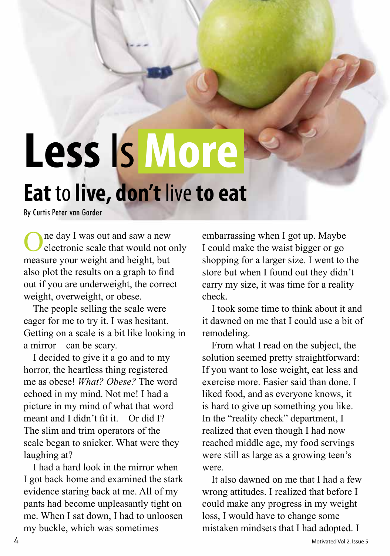# **Less** Is **More Eat** to **live, don't** live **to eat**

By Curtis Peter van Gorder

One day I was out and saw a new electronic scale that would not only measure your weight and height, but also plot the results on a graph to find out if you are underweight, the correct weight, overweight, or obese.

The people selling the scale were eager for me to try it. I was hesitant. Getting on a scale is a bit like looking in a mirror—can be scary.

I decided to give it a go and to my horror, the heartless thing registered me as obese! *What? Obese?* The word echoed in my mind. Not me! I had a picture in my mind of what that word meant and I didn't fit it.—Or did I? The slim and trim operators of the scale began to snicker. What were they laughing at?

I had a hard look in the mirror when I got back home and examined the stark evidence staring back at me. All of my pants had become unpleasantly tight on me. When I sat down, I had to unloosen my buckle, which was sometimes

embarrassing when I got up. Maybe I could make the waist bigger or go shopping for a larger size. I went to the store but when I found out they didn't carry my size, it was time for a reality check.

I took some time to think about it and it dawned on me that I could use a bit of remodeling.

From what I read on the subject, the solution seemed pretty straightforward: If you want to lose weight, eat less and exercise more. Easier said than done. I liked food, and as everyone knows, it is hard to give up something you like. In the "reality check" department, I realized that even though I had now reached middle age, my food servings were still as large as a growing teen's were.

It also dawned on me that I had a few wrong attitudes. I realized that before I could make any progress in my weight loss, I would have to change some mistaken mindsets that I had adopted. I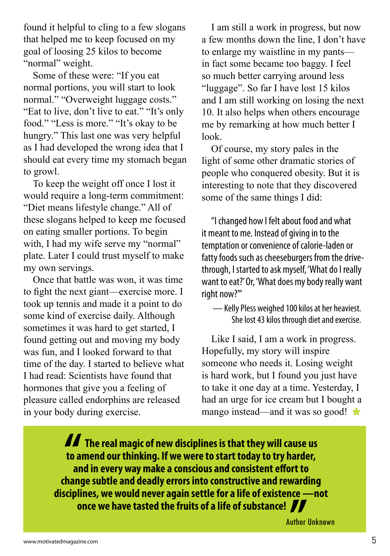found it helpful to cling to a few slogans that helped me to keep focused on my goal of loosing 25 kilos to become "normal" weight.

Some of these were: "If you eat normal portions, you will start to look normal." "Overweight luggage costs." "Eat to live, don't live to eat." "It's only food." "Less is more." "It's okay to be hungry." This last one was very helpful as I had developed the wrong idea that I should eat every time my stomach began to growl.

To keep the weight off once I lost it would require a long-term commitment: "Diet means lifestyle change." All of these slogans helped to keep me focused on eating smaller portions. To begin with, I had my wife serve my "normal" plate. Later I could trust myself to make my own servings.

Once that battle was won, it was time to fight the next giant—exercise more. I took up tennis and made it a point to do some kind of exercise daily. Although sometimes it was hard to get started, I found getting out and moving my body was fun, and I looked forward to that time of the day. I started to believe what I had read: Scientists have found that hormones that give you a feeling of pleasure called endorphins are released in your body during exercise.

I am still a work in progress, but now a few months down the line, I don't have to enlarge my waistline in my pants in fact some became too baggy. I feel so much better carrying around less "luggage". So far I have lost 15 kilos and I am still working on losing the next 10. It also helps when others encourage me by remarking at how much better I look.

Of course, my story pales in the light of some other dramatic stories of people who conquered obesity. But it is interesting to note that they discovered some of the same things I did:

"I changed how I felt about food and what it meant to me. Instead of giving in to the temptation or convenience of calorie-laden or fatty foods such as cheeseburgers from the drivethrough, I started to ask myself, 'What do I really want to eat?' Or, 'What does my body really want right now?'"

— Kelly Pless weighed 100 kilos at her heaviest. She lost 43 kilos through diet and exercise.

Like I said, I am a work in progress. Hopefully, my story will inspire someone who needs it. Losing weight is hard work, but I found you just have to take it one day at a time. Yesterday, I had an urge for ice cream but I bought a mango instead—and it was so good! **\*** 

*II*<br>to a<br>ar  **The real magic of new disciplines is that they will cause us to amend our thinking. If we were to start today to try harder, and in every way make a conscious and consistent effort to change subtle and deadly errors into constructive and rewarding disciplines, we would never again settle for a life of existence —not once we have tasted the fruits of a life of substance!** 

Author Unknown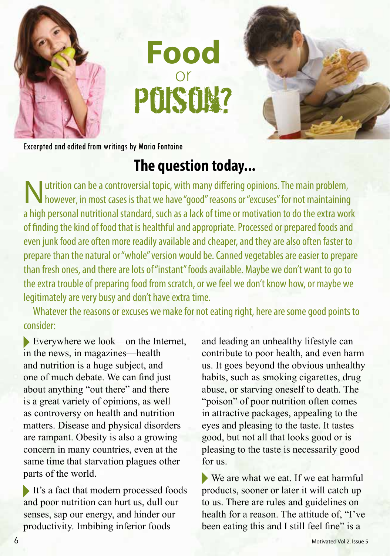



Excerpted and edited from writings by Maria Fontaine

### **The question today...**

**Food** 

or

Poison?

 $\blacksquare$  utrition can be a controversial topic, with many differing opinions. The main problem, I however, in most cases is that we have "good" reasons or "excuses" for not maintaining a high personal nutritional standard, such as a lack of time or motivation to do the extra work of finding the kind of food that is healthful and appropriate. Processed or prepared foods and even junk food are often more readily available and cheaper, and they are also often faster to prepare than the natural or "whole" version would be. Canned vegetables are easier to prepare than fresh ones, and there are lots of "instant" foods available. Maybe we don't want to go to the extra trouble of preparing food from scratch, or we feel we don't know how, or maybe we legitimately are very busy and don't have extra time.

Whatever the reasons or excuses we make for not eating right, here are some good points to consider:

Everywhere we look—on the Internet, in the news, in magazines—health and nutrition is a huge subject, and one of much debate. We can find just about anything "out there" and there is a great variety of opinions, as well as controversy on health and nutrition matters. Disease and physical disorders are rampant. Obesity is also a growing concern in many countries, even at the same time that starvation plagues other parts of the world.

It's a fact that modern processed foods and poor nutrition can hurt us, dull our senses, sap our energy, and hinder our productivity. Imbibing inferior foods

and leading an unhealthy lifestyle can contribute to poor health, and even harm us. It goes beyond the obvious unhealthy habits, such as smoking cigarettes, drug abuse, or starving oneself to death. The "poison" of poor nutrition often comes in attractive packages, appealing to the eyes and pleasing to the taste. It tastes good, but not all that looks good or is pleasing to the taste is necessarily good for us.

We are what we eat. If we eat harmful products, sooner or later it will catch up to us. There are rules and guidelines on health for a reason. The attitude of, "I've been eating this and I still feel fine" is a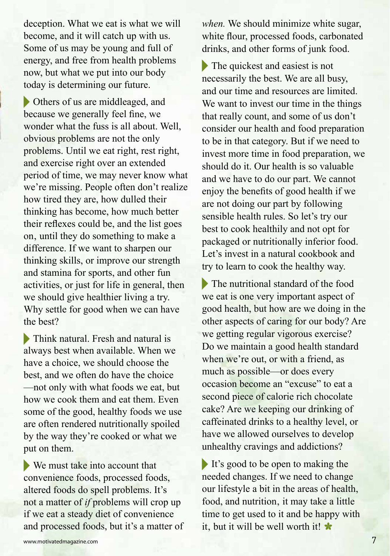deception. What we eat is what we will become, and it will catch up with us. Some of us may be young and full of energy, and free from health problems now, but what we put into our body today is determining our future.

Others of us are middleaged, and because we generally feel fine, we wonder what the fuss is all about. Well, obvious problems are not the only problems. Until we eat right, rest right, and exercise right over an extended period of time, we may never know what we're missing. People often don't realize how tired they are, how dulled their thinking has become, how much better their reflexes could be, and the list goes on, until they do something to make a difference. If we want to sharpen our thinking skills, or improve our strength and stamina for sports, and other fun activities, or just for life in general, then we should give healthier living a try. Why settle for good when we can have the best?

Think natural. Fresh and natural is always best when available. When we have a choice, we should choose the best, and we often do have the choice —not only with what foods we eat, but how we cook them and eat them. Even some of the good, healthy foods we use are often rendered nutritionally spoiled by the way they're cooked or what we put on them.

We must take into account that convenience foods, processed foods, altered foods do spell problems. It's not a matter of *if* problems will crop up if we eat a steady diet of convenience and processed foods, but it's a matter of *when.* We should minimize white sugar, white flour, processed foods, carbonated drinks, and other forms of junk food.

The quickest and easiest is not necessarily the best. We are all busy, and our time and resources are limited. We want to invest our time in the things that really count, and some of us don't consider our health and food preparation to be in that category. But if we need to invest more time in food preparation, we should do it. Our health is so valuable and we have to do our part. We cannot enjoy the benefits of good health if we are not doing our part by following sensible health rules. So let's try our best to cook healthily and not opt for packaged or nutritionally inferior food. Let's invest in a natural cookbook and try to learn to cook the healthy way.

The nutritional standard of the food we eat is one very important aspect of good health, but how are we doing in the other aspects of caring for our body? Are we getting regular vigorous exercise? Do we maintain a good health standard when we're out, or with a friend, as much as possible—or does every occasion become an "excuse" to eat a second piece of calorie rich chocolate cake? Are we keeping our drinking of caffeinated drinks to a healthy level, or have we allowed ourselves to develop unhealthy cravings and addictions?

It's good to be open to making the needed changes. If we need to change our lifestyle a bit in the areas of health, food, and nutrition, it may take a little time to get used to it and be happy with it, but it will be well worth it!  $\star$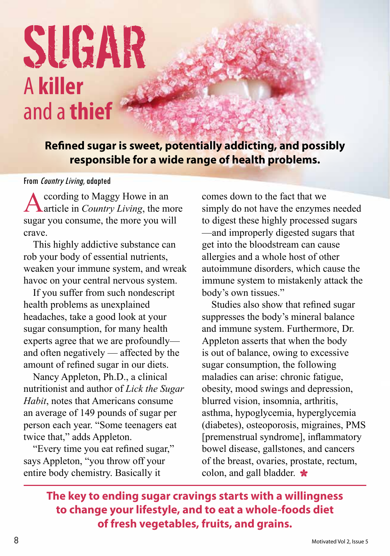# SUGAR A **killer**  and a **thief**

**Refined sugar is sweet, potentially addicting, and possibly responsible for a wide range of health problems.**

### From Country Living, adapted

According to Maggy Howe in an article in *Country Living*, the more sugar you consume, the more you will crave.

This highly addictive substance can rob your body of essential nutrients, weaken your immune system, and wreak havoc on your central nervous system.

If you suffer from such nondescript health problems as unexplained headaches, take a good look at your sugar consumption, for many health experts agree that we are profoundly and often negatively — affected by the amount of refined sugar in our diets.

Nancy Appleton, Ph.D., a clinical nutritionist and author of *Lick the Sugar Habit*, notes that Americans consume an average of 149 pounds of sugar per person each year. "Some teenagers eat twice that," adds Appleton.

"Every time you eat refined sugar," says Appleton, "you throw off your entire body chemistry. Basically it

comes down to the fact that we simply do not have the enzymes needed to digest these highly processed sugars —and improperly digested sugars that get into the bloodstream can cause allergies and a whole host of other autoimmune disorders, which cause the immune system to mistakenly attack the body's own tissues."

Studies also show that refined sugar suppresses the body's mineral balance and immune system. Furthermore, Dr. Appleton asserts that when the body is out of balance, owing to excessive sugar consumption, the following maladies can arise: chronic fatigue, obesity, mood swings and depression, blurred vision, insomnia, arthritis, asthma, hypoglycemia, hyperglycemia (diabetes), osteoporosis, migraines, PMS [premenstrual syndrome], inflammatory bowel disease, gallstones, and cancers of the breast, ovaries, prostate, rectum, colon, and gall bladder.

**The key to ending sugar cravings starts with a willingness to change your lifestyle, and to eat a whole-foods diet of fresh vegetables, fruits, and grains.**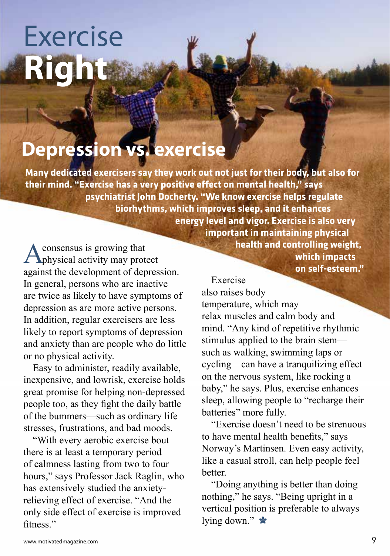# Exercise **Right**

### **Depression vs. exercise**

**Many dedicated exercisers say they work out not just for their body, but also for their mind. "Exercise has a very positive effect on mental health," says psychiatrist John Docherty. "We know exercise helps regulate biorhythms, which improves sleep, and it enhances energy level and vigor. Exercise is also very** 

**A** consensus is growing that<br> **A** physical activity may protect<br> **A** physical activity may protect<br> **A** physical activity may protect<br> **A** physical activity may protect<br> **A** physical activity may protect<br> **A** physical act consensus is growing that against the development of depression. In general, persons who are inactive are twice as likely to have symptoms of depression as are more active persons. In addition, regular exercisers are less likely to report symptoms of depression and anxiety than are people who do little or no physical activity.

Easy to administer, readily available, inexpensive, and lowrisk, exercise holds great promise for helping non-depressed people too, as they fight the daily battle of the bummers—such as ordinary life stresses, frustrations, and bad moods.

"With every aerobic exercise bout there is at least a temporary period of calmness lasting from two to four hours," says Professor Jack Raglin, who has extensively studied the anxietyrelieving effect of exercise. "And the only side effect of exercise is improved fitness<sup>"</sup>

 **important in maintaining physical health and controlling weight, on self-esteem."**

Exercise also raises body temperature, which may relax muscles and calm body and mind. "Any kind of repetitive rhythmic stimulus applied to the brain stem such as walking, swimming laps or cycling—can have a tranquilizing effect on the nervous system, like rocking a baby," he says. Plus, exercise enhances sleep, allowing people to "recharge their batteries" more fully.

"Exercise doesn't need to be strenuous to have mental health benefits," says Norway's Martinsen. Even easy activity, like a casual stroll, can help people feel better.

"Doing anything is better than doing nothing," he says. "Being upright in a vertical position is preferable to always lying down."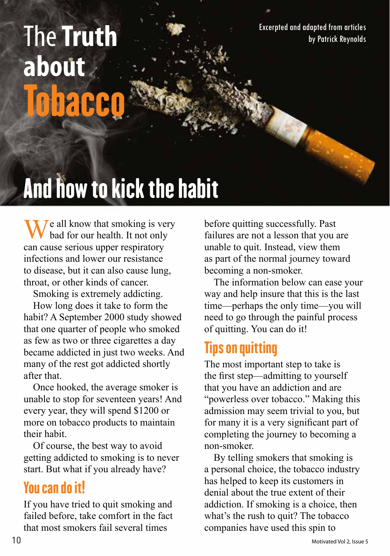# **The Truth** Excerpted and adapted from articles **about Tobacco**

# And how to kick the habit

 $\overline{I}$  e all know that smoking is very bad for our health. It not only can cause serious upper respiratory infections and lower our resistance to disease, but it can also cause lung, throat, or other kinds of cancer.

Smoking is extremely addicting.

How long does it take to form the habit? A September 2000 study showed that one quarter of people who smoked as few as two or three cigarettes a day became addicted in just two weeks. And many of the rest got addicted shortly after that.

Once hooked, the average smoker is unable to stop for seventeen years! And every year, they will spend \$1200 or more on tobacco products to maintain their habit.

Of course, the best way to avoid getting addicted to smoking is to never start. But what if you already have?

### You can do it!

If you have tried to quit smoking and failed before, take comfort in the fact that most smokers fail several times

before quitting successfully. Past failures are not a lesson that you are unable to quit. Instead, view them as part of the normal journey toward becoming a non-smoker.

The information below can ease your way and help insure that this is the last time—perhaps the only time—you will need to go through the painful process of quitting. You can do it!

### Tips on quitting

The most important step to take is the first step—admitting to yourself that you have an addiction and are "powerless over tobacco." Making this admission may seem trivial to you, but for many it is a very significant part of completing the journey to becoming a non-smoker.

By telling smokers that smoking is a personal choice, the tobacco industry has helped to keep its customers in denial about the true extent of their addiction. If smoking is a choice, then what's the rush to quit? The tobacco companies have used this spin to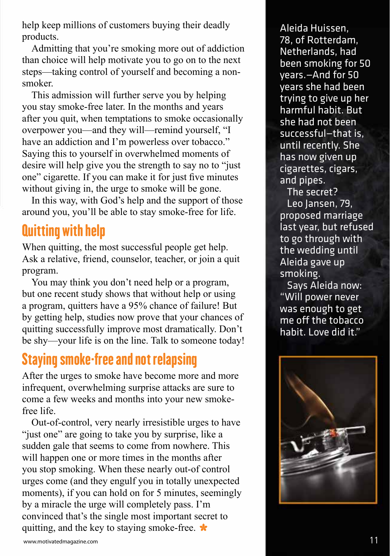help keep millions of customers buying their deadly products.

Admitting that you're smoking more out of addiction than choice will help motivate you to go on to the next steps—taking control of yourself and becoming a nonsmoker.

This admission will further serve you by helping you stay smoke-free later. In the months and years after you quit, when temptations to smoke occasionally overpower you—and they will—remind yourself, "I have an addiction and I'm powerless over tobacco." Saying this to yourself in overwhelmed moments of desire will help give you the strength to say no to "just one" cigarette. If you can make it for just five minutes without giving in, the urge to smoke will be gone.

In this way, with God's help and the support of those around you, you'll be able to stay smoke-free for life.

### Quitting with help

When quitting, the most successful people get help. Ask a relative, friend, counselor, teacher, or join a quit program.

You may think you don't need help or a program, but one recent study shows that without help or using a program, quitters have a 95% chance of failure! But by getting help, studies now prove that your chances of quitting successfully improve most dramatically. Don't be shy—your life is on the line. Talk to someone today!

### Staying smoke-free and not relapsing

After the urges to smoke have become more and more infrequent, overwhelming surprise attacks are sure to come a few weeks and months into your new smokefree life.

Out-of-control, very nearly irresistible urges to have "just one" are going to take you by surprise, like a sudden gale that seems to come from nowhere. This will happen one or more times in the months after you stop smoking. When these nearly out-of control urges come (and they engulf you in totally unexpected moments), if you can hold on for 5 minutes, seemingly by a miracle the urge will completely pass. I'm convinced that's the single most important secret to quitting, and the key to staying smoke-free.

Aleida Huissen, 78, of Rotterdam, Netherlands, had been smoking for 50 years.—And for 50 years she had been trying to give up her harmful habit. But she had not been successful—that is, until recently. She has now given up cigarettes, cigars, and pipes.

The secret? Leo Jansen, 79, proposed marriage last year, but refused to go through with the wedding until Aleida gave up smoking.

Says Aleida now: "Will power never was enough to get me off the tobacco habit. Love did it."